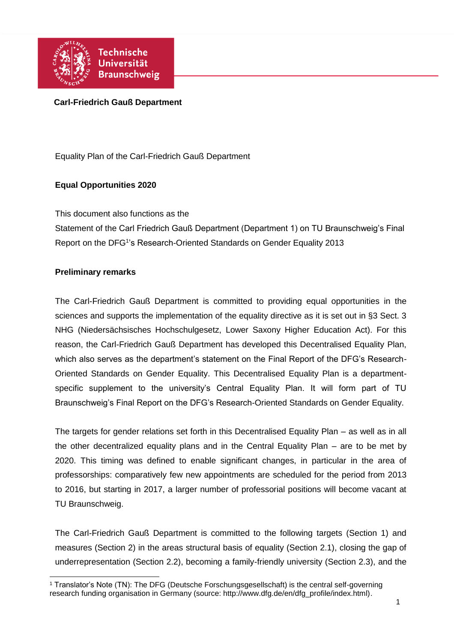

### **Carl-Friedrich Gauß Department**

Equality Plan of the Carl-Friedrich Gauß Department

### **Equal Opportunities 2020**

This document also functions as the

Statement of the Carl Friedrich Gauß Department (Department 1) on TU Braunschweig's Final Report on the DFG<sup>1</sup>'s Research-Oriented Standards on Gender Equality 2013

#### **Preliminary remarks**

The Carl-Friedrich Gauß Department is committed to providing equal opportunities in the sciences and supports the implementation of the equality directive as it is set out in §3 Sect. 3 NHG (Niedersächsisches Hochschulgesetz, Lower Saxony Higher Education Act). For this reason, the Carl-Friedrich Gauß Department has developed this Decentralised Equality Plan, which also serves as the department's statement on the Final Report of the DFG's Research-Oriented Standards on Gender Equality. This Decentralised Equality Plan is a departmentspecific supplement to the university's Central Equality Plan. It will form part of TU Braunschweig's Final Report on the DFG's Research-Oriented Standards on Gender Equality.

The targets for gender relations set forth in this Decentralised Equality Plan – as well as in all the other decentralized equality plans and in the Central Equality Plan – are to be met by 2020. This timing was defined to enable significant changes, in particular in the area of professorships: comparatively few new appointments are scheduled for the period from 2013 to 2016, but starting in 2017, a larger number of professorial positions will become vacant at TU Braunschweig.

The Carl-Friedrich Gauß Department is committed to the following targets (Section 1) and measures (Section 2) in the areas structural basis of equality (Section 2.1), closing the gap of underrepresentation (Section 2.2), becoming a family-friendly university (Section 2.3), and the

 <sup>1</sup> Translator's Note (TN): The DFG (Deutsche Forschungsgesellschaft) is the central self-governing research funding organisation in Germany (source: http://www.dfg.de/en/dfg\_profile/index.html).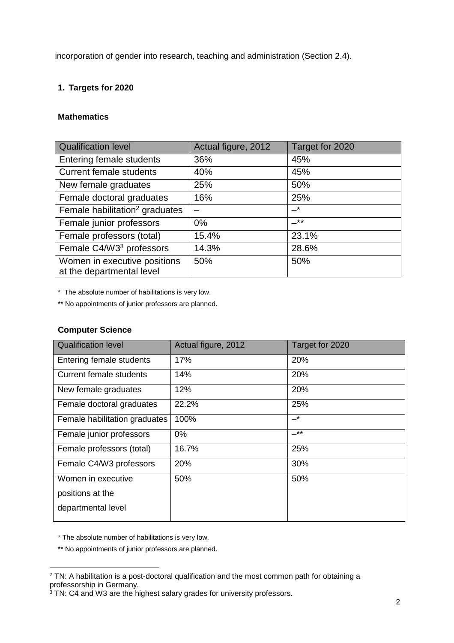incorporation of gender into research, teaching and administration (Section 2.4).

## **1. Targets for 2020**

### **Mathematics**

| <b>Qualification level</b>                                | Actual figure, 2012 | Target for 2020            |
|-----------------------------------------------------------|---------------------|----------------------------|
| Entering female students                                  | 36%                 | 45%                        |
| <b>Current female students</b>                            | 40%                 | 45%                        |
| New female graduates                                      | 25%                 | 50%                        |
| Female doctoral graduates                                 | 16%                 | 25%                        |
| Female habilitation <sup>2</sup> graduates                |                     | $\overline{\phantom{0}}^*$ |
| Female junior professors                                  | $0\%$               | $\rightarrow$ **           |
| Female professors (total)                                 | 15.4%               | 23.1%                      |
| Female C4/W3 <sup>3</sup> professors                      | 14.3%               | 28.6%                      |
| Women in executive positions<br>at the departmental level | 50%                 | 50%                        |

\* The absolute number of habilitations is very low.

\*\* No appointments of junior professors are planned.

#### **Computer Science**

| <b>Qualification level</b>     | Actual figure, 2012 | Target for 2020 |
|--------------------------------|---------------------|-----------------|
| Entering female students       | 17%                 | 20%             |
| <b>Current female students</b> | 14%                 | 20%             |
| New female graduates           | 12%                 | 20%             |
| Female doctoral graduates      | 22.2%               | 25%             |
| Female habilitation graduates  | 100%                | –*              |
| Female junior professors       | $0\%$               | _**             |
| Female professors (total)      | 16.7%               | 25%             |
| Female C4/W3 professors        | 20%                 | 30%             |
| Women in executive             | 50%                 | 50%             |
| positions at the               |                     |                 |
| departmental level             |                     |                 |

\* The absolute number of habilitations is very low.

\*\* No appointments of junior professors are planned.

 $\overline{a}$ <sup>2</sup> TN: A habilitation is a post-doctoral qualification and the most common path for obtaining a professorship in Germany.

<sup>&</sup>lt;sup>3</sup> TN: C4 and W3 are the highest salary grades for university professors.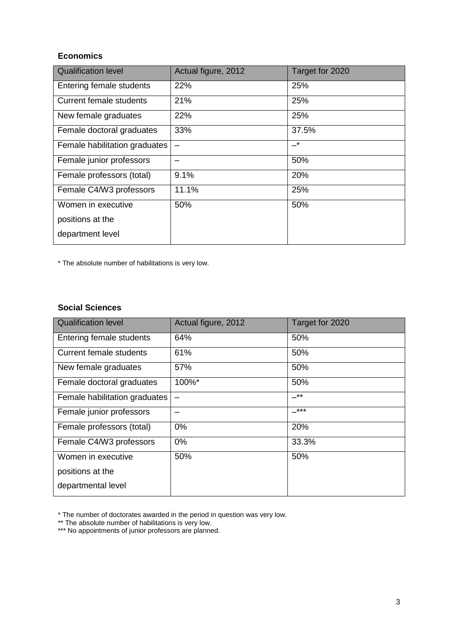# **Economics**

| <b>Qualification level</b>     | Actual figure, 2012      | Target for 2020 |
|--------------------------------|--------------------------|-----------------|
| Entering female students       | 22%                      | 25%             |
| <b>Current female students</b> | 21%                      | 25%             |
| New female graduates           | 22%                      | 25%             |
| Female doctoral graduates      | 33%                      | 37.5%           |
| Female habilitation graduates  | $\overline{\phantom{0}}$ | –*              |
| Female junior professors       |                          | 50%             |
| Female professors (total)      | 9.1%                     | 20%             |
| Female C4/W3 professors        | 11.1%                    | 25%             |
| Women in executive             | 50%                      | 50%             |
| positions at the               |                          |                 |
| department level               |                          |                 |

\* The absolute number of habilitations is very low.

#### **Social Sciences**

| <b>Qualification level</b>     | Actual figure, 2012 | Target for 2020 |
|--------------------------------|---------------------|-----------------|
| Entering female students       | 64%                 | 50%             |
| <b>Current female students</b> | 61%                 | 50%             |
| New female graduates           | 57%                 | 50%             |
| Female doctoral graduates      | 100%*               | 50%             |
| Female habilitation graduates  |                     | $-***$          |
| Female junior professors       |                     | $-***$          |
| Female professors (total)      | $0\%$               | 20%             |
| Female C4/W3 professors        | $0\%$               | 33.3%           |
| Women in executive             | 50%                 | 50%             |
| positions at the               |                     |                 |
| departmental level             |                     |                 |

\* The number of doctorates awarded in the period in question was very low.

<sup>\*\*</sup> The absolute number of habilitations is very low.

<sup>\*\*\*</sup> No appointments of junior professors are planned.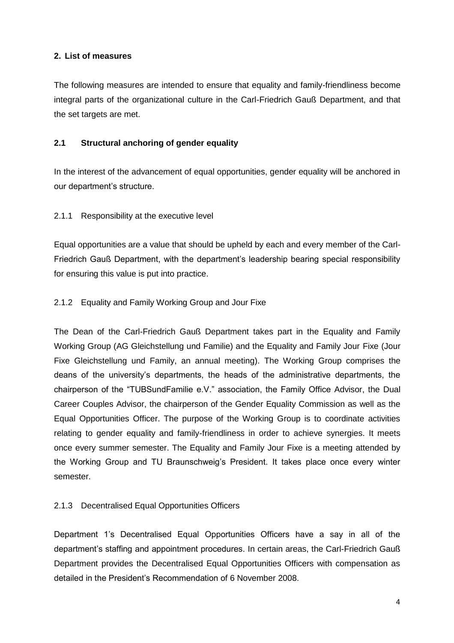## **2. List of measures**

The following measures are intended to ensure that equality and family-friendliness become integral parts of the organizational culture in the Carl-Friedrich Gauß Department, and that the set targets are met.

### **2.1 Structural anchoring of gender equality**

In the interest of the advancement of equal opportunities, gender equality will be anchored in our department's structure.

### 2.1.1 Responsibility at the executive level

Equal opportunities are a value that should be upheld by each and every member of the Carl-Friedrich Gauß Department, with the department's leadership bearing special responsibility for ensuring this value is put into practice.

### 2.1.2 Equality and Family Working Group and Jour Fixe

The Dean of the Carl-Friedrich Gauß Department takes part in the Equality and Family Working Group (AG Gleichstellung und Familie) and the Equality and Family Jour Fixe (Jour Fixe Gleichstellung und Family, an annual meeting). The Working Group comprises the deans of the university's departments, the heads of the administrative departments, the chairperson of the "TUBSundFamilie e.V." association, the Family Office Advisor, the Dual Career Couples Advisor, the chairperson of the Gender Equality Commission as well as the Equal Opportunities Officer. The purpose of the Working Group is to coordinate activities relating to gender equality and family-friendliness in order to achieve synergies. It meets once every summer semester. The Equality and Family Jour Fixe is a meeting attended by the Working Group and TU Braunschweig's President. It takes place once every winter semester.

#### 2.1.3 Decentralised Equal Opportunities Officers

Department 1's Decentralised Equal Opportunities Officers have a say in all of the department's staffing and appointment procedures. In certain areas, the Carl-Friedrich Gauß Department provides the Decentralised Equal Opportunities Officers with compensation as detailed in the President's Recommendation of 6 November 2008.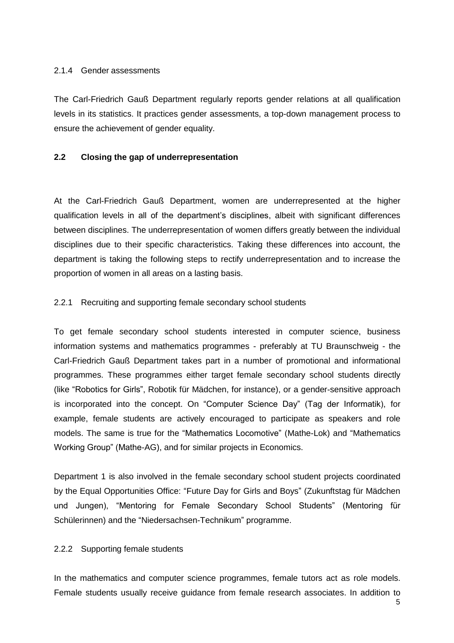#### 2.1.4 Gender assessments

The Carl-Friedrich Gauß Department regularly reports gender relations at all qualification levels in its statistics. It practices gender assessments, a top-down management process to ensure the achievement of gender equality.

#### **2.2 Closing the gap of underrepresentation**

At the Carl-Friedrich Gauß Department, women are underrepresented at the higher qualification levels in all of the department's disciplines, albeit with significant differences between disciplines. The underrepresentation of women differs greatly between the individual disciplines due to their specific characteristics. Taking these differences into account, the department is taking the following steps to rectify underrepresentation and to increase the proportion of women in all areas on a lasting basis.

#### 2.2.1 Recruiting and supporting female secondary school students

To get female secondary school students interested in computer science, business information systems and mathematics programmes - preferably at TU Braunschweig - the Carl-Friedrich Gauß Department takes part in a number of promotional and informational programmes. These programmes either target female secondary school students directly (like "Robotics for Girls", Robotik für Mädchen, for instance), or a gender-sensitive approach is incorporated into the concept. On "Computer Science Day" (Tag der Informatik), for example, female students are actively encouraged to participate as speakers and role models. The same is true for the "Mathematics Locomotive" (Mathe-Lok) and "Mathematics Working Group" (Mathe-AG), and for similar projects in Economics.

Department 1 is also involved in the female secondary school student projects coordinated by the Equal Opportunities Office: "Future Day for Girls and Boys" (Zukunftstag für Mädchen und Jungen), "Mentoring for Female Secondary School Students" (Mentoring für Schülerinnen) and the "Niedersachsen-Technikum" programme.

#### 2.2.2 Supporting female students

In the mathematics and computer science programmes, female tutors act as role models. Female students usually receive guidance from female research associates. In addition to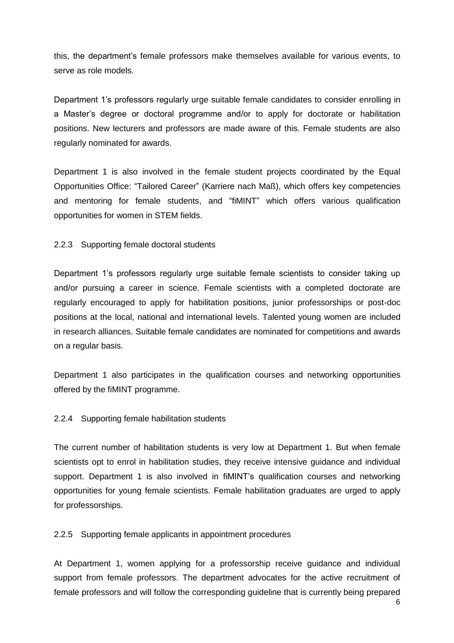this, the department's female professors make themselves available for various events, to serve as role models.

Department 1's professors regularly urge suitable female candidates to consider enrolling in a Master's degree or doctoral programme and/or to apply for doctorate or habilitation positions. New lecturers and professors are made aware of this. Female students are also regularly nominated for awards.

Department 1 is also involved in the female student projects coordinated by the Equal Opportunities Office: "Tailored Career" (Karriere nach Maß), which offers key competencies and mentoring for female students, and "fiMINT" which offers various qualification opportunities for women in STEM fields.

#### 2.2.3 Supporting female doctoral students

Department 1's professors regularly urge suitable female scientists to consider taking up and/or pursuing a career in science. Female scientists with a completed doctorate are regularly encouraged to apply for habilitation positions, junior professorships or post-doc positions at the local, national and international levels. Talented young women are included in research alliances. Suitable female candidates are nominated for competitions and awards on a regular basis.

Department 1 also participates in the qualification courses and networking opportunities offered by the fiMINT programme.

#### 2.2.4 Supporting female habilitation students

The current number of habilitation students is very low at Department 1. But when female scientists opt to enrol in habilitation studies, they receive intensive guidance and individual support. Department 1 is also involved in fiMINT's qualification courses and networking opportunities for young female scientists. Female habilitation graduates are urged to apply for professorships.

2.2.5 Supporting female applicants in appointment procedures

At Department 1, women applying for a professorship receive guidance and individual support from female professors. The department advocates for the active recruitment of female professors and will follow the corresponding guideline that is currently being prepared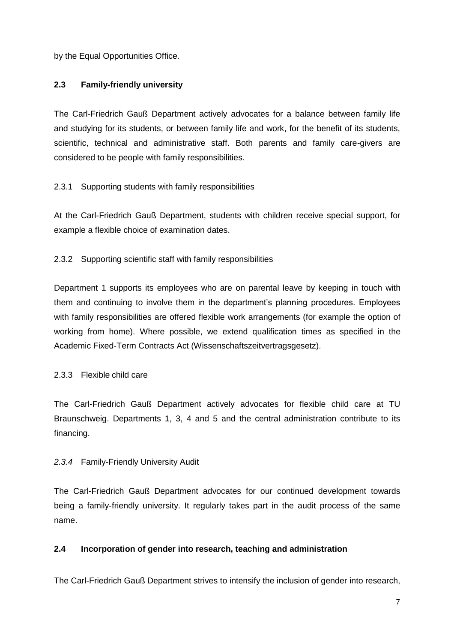by the Equal Opportunities Office.

## **2.3 Family-friendly university**

The Carl-Friedrich Gauß Department actively advocates for a balance between family life and studying for its students, or between family life and work, for the benefit of its students, scientific, technical and administrative staff. Both parents and family care-givers are considered to be people with family responsibilities.

## 2.3.1 Supporting students with family responsibilities

At the Carl-Friedrich Gauß Department, students with children receive special support, for example a flexible choice of examination dates.

## 2.3.2 Supporting scientific staff with family responsibilities

Department 1 supports its employees who are on parental leave by keeping in touch with them and continuing to involve them in the department's planning procedures. Employees with family responsibilities are offered flexible work arrangements (for example the option of working from home). Where possible, we extend qualification times as specified in the Academic Fixed-Term Contracts Act (Wissenschaftszeitvertragsgesetz).

## 2.3.3 Flexible child care

The Carl-Friedrich Gauß Department actively advocates for flexible child care at TU Braunschweig. Departments 1, 3, 4 and 5 and the central administration contribute to its financing.

## *2.3.4* Family-Friendly University Audit

The Carl-Friedrich Gauß Department advocates for our continued development towards being a family-friendly university. It regularly takes part in the audit process of the same name.

## **2.4 Incorporation of gender into research, teaching and administration**

The Carl-Friedrich Gauß Department strives to intensify the inclusion of gender into research,